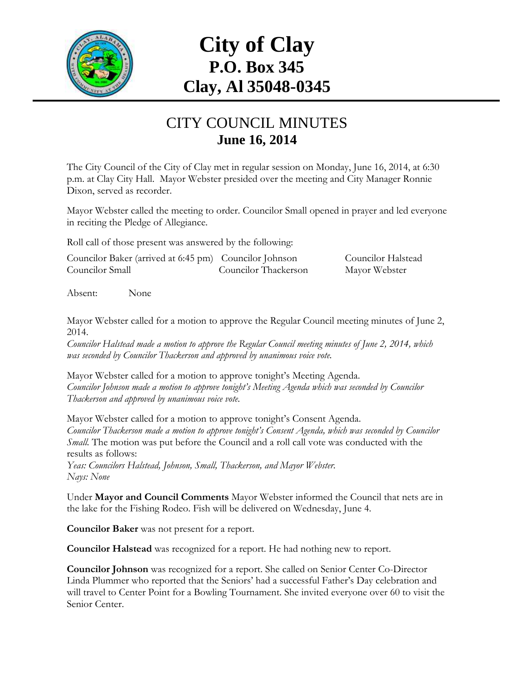

# **City of Clay P.O. Box 345 Clay, Al 35048-0345**

#### CITY COUNCIL MINUTES **June 16, 2014**

The City Council of the City of Clay met in regular session on Monday, June 16, 2014, at 6:30 p.m. at Clay City Hall. Mayor Webster presided over the meeting and City Manager Ronnie Dixon, served as recorder.

Mayor Webster called the meeting to order. Councilor Small opened in prayer and led everyone in reciting the Pledge of Allegiance.

Roll call of those present was answered by the following:

| Councilor Baker (arrived at 6:45 pm) Councilor Johnson |                      | Councilor Halstead |
|--------------------------------------------------------|----------------------|--------------------|
| Councilor Small                                        | Councilor Thackerson | Mayor Webster      |

Absent: None

Mayor Webster called for a motion to approve the Regular Council meeting minutes of June 2, 2014.

*Councilor Halstead made a motion to approve the Regular Council meeting minutes of June 2, 2014, which was seconded by Councilor Thackerson and approved by unanimous voice vote.*

Mayor Webster called for a motion to approve tonight's Meeting Agenda. *Councilor Johnson made a motion to approve tonight's Meeting Agenda which was seconded by Councilor Thackerson and approved by unanimous voice vote.*

Mayor Webster called for a motion to approve tonight's Consent Agenda. *Councilor Thackerson made a motion to approve tonight's Consent Agenda, which was seconded by Councilor Small.* The motion was put before the Council and a roll call vote was conducted with the results as follows:

*Yeas: Councilors Halstead, Johnson, Small, Thackerson, and Mayor Webster. Nays: None*

Under **Mayor and Council Comments** Mayor Webster informed the Council that nets are in the lake for the Fishing Rodeo. Fish will be delivered on Wednesday, June 4.

**Councilor Baker** was not present for a report.

**Councilor Halstead** was recognized for a report. He had nothing new to report.

**Councilor Johnson** was recognized for a report. She called on Senior Center Co-Director Linda Plummer who reported that the Seniors' had a successful Father's Day celebration and will travel to Center Point for a Bowling Tournament. She invited everyone over 60 to visit the Senior Center.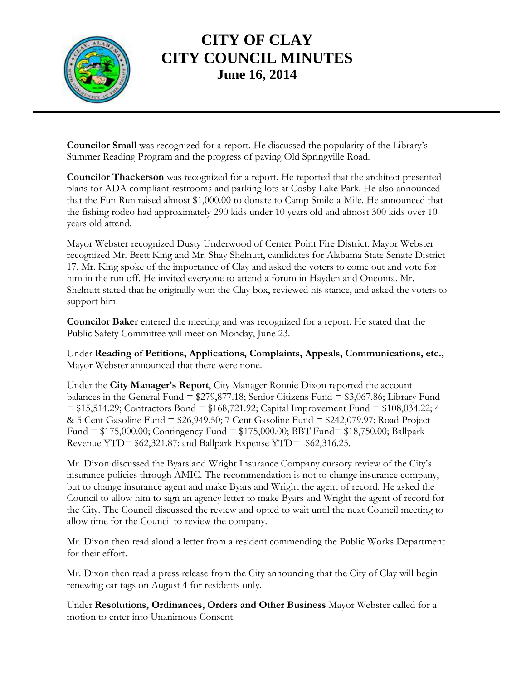

## **CITY OF CLAY CITY COUNCIL MINUTES June 16, 2014**

**Councilor Small** was recognized for a report. He discussed the popularity of the Library's Summer Reading Program and the progress of paving Old Springville Road.

**Councilor Thackerson** was recognized for a report**.** He reported that the architect presented plans for ADA compliant restrooms and parking lots at Cosby Lake Park. He also announced that the Fun Run raised almost \$1,000.00 to donate to Camp Smile-a-Mile. He announced that the fishing rodeo had approximately 290 kids under 10 years old and almost 300 kids over 10 years old attend.

Mayor Webster recognized Dusty Underwood of Center Point Fire District. Mayor Webster recognized Mr. Brett King and Mr. Shay Shelnutt, candidates for Alabama State Senate District 17. Mr. King spoke of the importance of Clay and asked the voters to come out and vote for him in the run off. He invited everyone to attend a forum in Hayden and Oneonta. Mr. Shelnutt stated that he originally won the Clay box, reviewed his stance, and asked the voters to support him.

**Councilor Baker** entered the meeting and was recognized for a report. He stated that the Public Safety Committee will meet on Monday, June 23.

Under **Reading of Petitions, Applications, Complaints, Appeals, Communications, etc.,** Mayor Webster announced that there were none.

Under the **City Manager's Report**, City Manager Ronnie Dixon reported the account balances in the General Fund = \$279,877.18; Senior Citizens Fund = \$3,067.86; Library Fund  $= $15,514.29$ ; Contractors Bond  $= $168,721.92$ ; Capital Improvement Fund  $= $108,034.22$ ; 4 & 5 Cent Gasoline Fund = \$26,949.50; 7 Cent Gasoline Fund = \$242,079.97; Road Project Fund = \$175,000.00; Contingency Fund = \$175,000.00; BBT Fund= \$18,750.00; Ballpark Revenue YTD= \$62,321.87; and Ballpark Expense YTD= -\$62,316.25.

Mr. Dixon discussed the Byars and Wright Insurance Company cursory review of the City's insurance policies through AMIC. The recommendation is not to change insurance company, but to change insurance agent and make Byars and Wright the agent of record. He asked the Council to allow him to sign an agency letter to make Byars and Wright the agent of record for the City. The Council discussed the review and opted to wait until the next Council meeting to allow time for the Council to review the company.

Mr. Dixon then read aloud a letter from a resident commending the Public Works Department for their effort.

Mr. Dixon then read a press release from the City announcing that the City of Clay will begin renewing car tags on August 4 for residents only.

Under **Resolutions, Ordinances, Orders and Other Business** Mayor Webster called for a motion to enter into Unanimous Consent.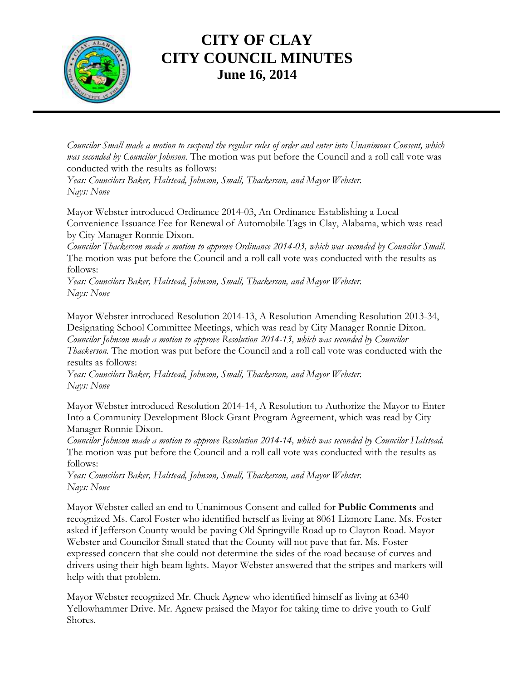

#### **CITY OF CLAY CITY COUNCIL MINUTES June 16, 2014**

*Councilor Small made a motion to suspend the regular rules of order and enter into Unanimous Consent, which was seconded by Councilor Johnson.* The motion was put before the Council and a roll call vote was conducted with the results as follows:

*Yeas: Councilors Baker, Halstead, Johnson, Small, Thackerson, and Mayor Webster. Nays: None*

Mayor Webster introduced Ordinance 2014-03, An Ordinance Establishing a Local Convenience Issuance Fee for Renewal of Automobile Tags in Clay, Alabama, which was read by City Manager Ronnie Dixon.

*Councilor Thackerson made a motion to approve Ordinance 2014-03, which was seconded by Councilor Small.*  The motion was put before the Council and a roll call vote was conducted with the results as follows:

*Yeas: Councilors Baker, Halstead, Johnson, Small, Thackerson, and Mayor Webster. Nays: None*

Mayor Webster introduced Resolution 2014-13, A Resolution Amending Resolution 2013-34, Designating School Committee Meetings, which was read by City Manager Ronnie Dixon. *Councilor Johnson made a motion to approve Resolution 2014-13, which was seconded by Councilor Thackerson.* The motion was put before the Council and a roll call vote was conducted with the results as follows:

*Yeas: Councilors Baker, Halstead, Johnson, Small, Thackerson, and Mayor Webster. Nays: None*

Mayor Webster introduced Resolution 2014-14, A Resolution to Authorize the Mayor to Enter Into a Community Development Block Grant Program Agreement, which was read by City Manager Ronnie Dixon.

*Councilor Johnson made a motion to approve Resolution 2014-14, which was seconded by Councilor Halstead.*  The motion was put before the Council and a roll call vote was conducted with the results as follows:

*Yeas: Councilors Baker, Halstead, Johnson, Small, Thackerson, and Mayor Webster. Nays: None*

Mayor Webster called an end to Unanimous Consent and called for **Public Comments** and recognized Ms. Carol Foster who identified herself as living at 8061 Lizmore Lane. Ms. Foster asked if Jefferson County would be paving Old Springville Road up to Clayton Road. Mayor Webster and Councilor Small stated that the County will not pave that far. Ms. Foster expressed concern that she could not determine the sides of the road because of curves and drivers using their high beam lights. Mayor Webster answered that the stripes and markers will help with that problem.

Mayor Webster recognized Mr. Chuck Agnew who identified himself as living at 6340 Yellowhammer Drive. Mr. Agnew praised the Mayor for taking time to drive youth to Gulf Shores.